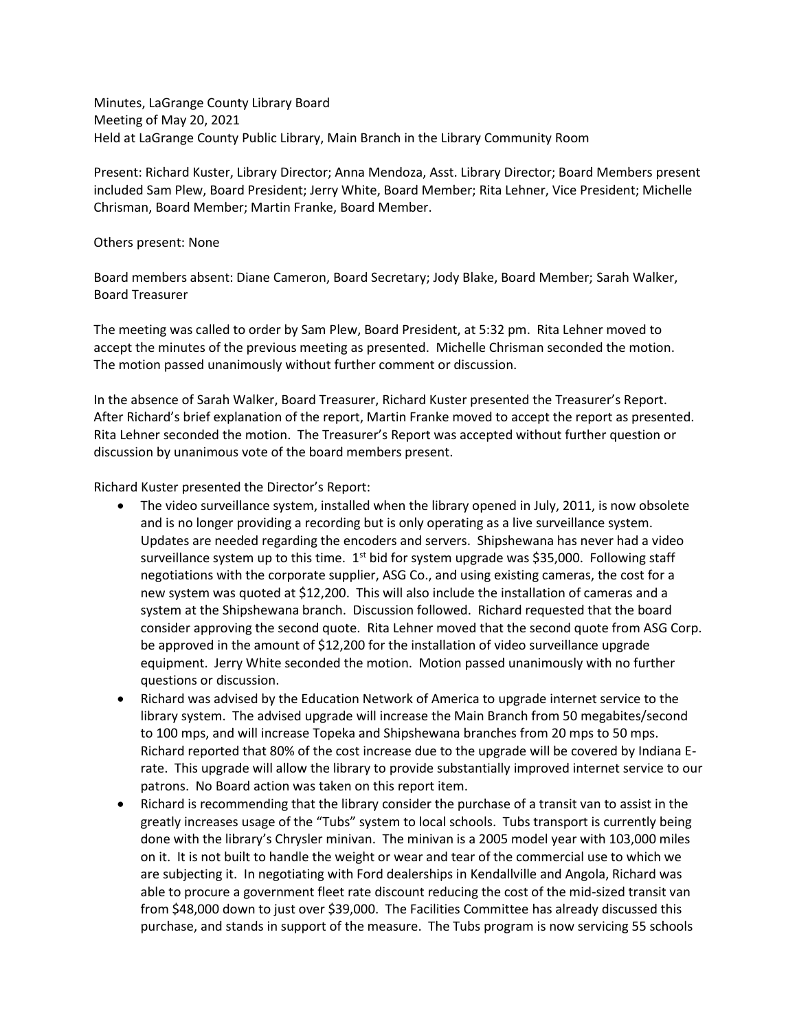Minutes, LaGrange County Library Board Meeting of May 20, 2021 Held at LaGrange County Public Library, Main Branch in the Library Community Room

Present: Richard Kuster, Library Director; Anna Mendoza, Asst. Library Director; Board Members present included Sam Plew, Board President; Jerry White, Board Member; Rita Lehner, Vice President; Michelle Chrisman, Board Member; Martin Franke, Board Member.

## Others present: None

Board members absent: Diane Cameron, Board Secretary; Jody Blake, Board Member; Sarah Walker, Board Treasurer

The meeting was called to order by Sam Plew, Board President, at 5:32 pm. Rita Lehner moved to accept the minutes of the previous meeting as presented. Michelle Chrisman seconded the motion. The motion passed unanimously without further comment or discussion.

In the absence of Sarah Walker, Board Treasurer, Richard Kuster presented the Treasurer's Report. After Richard's brief explanation of the report, Martin Franke moved to accept the report as presented. Rita Lehner seconded the motion. The Treasurer's Report was accepted without further question or discussion by unanimous vote of the board members present.

Richard Kuster presented the Director's Report:

- The video surveillance system, installed when the library opened in July, 2011, is now obsolete and is no longer providing a recording but is only operating as a live surveillance system. Updates are needed regarding the encoders and servers. Shipshewana has never had a video surveillance system up to this time.  $1<sup>st</sup>$  bid for system upgrade was \$35,000. Following staff negotiations with the corporate supplier, ASG Co., and using existing cameras, the cost for a new system was quoted at \$12,200. This will also include the installation of cameras and a system at the Shipshewana branch. Discussion followed. Richard requested that the board consider approving the second quote. Rita Lehner moved that the second quote from ASG Corp. be approved in the amount of \$12,200 for the installation of video surveillance upgrade equipment. Jerry White seconded the motion. Motion passed unanimously with no further questions or discussion.
- Richard was advised by the Education Network of America to upgrade internet service to the library system. The advised upgrade will increase the Main Branch from 50 megabites/second to 100 mps, and will increase Topeka and Shipshewana branches from 20 mps to 50 mps. Richard reported that 80% of the cost increase due to the upgrade will be covered by Indiana Erate. This upgrade will allow the library to provide substantially improved internet service to our patrons. No Board action was taken on this report item.
- Richard is recommending that the library consider the purchase of a transit van to assist in the greatly increases usage of the "Tubs" system to local schools. Tubs transport is currently being done with the library's Chrysler minivan. The minivan is a 2005 model year with 103,000 miles on it. It is not built to handle the weight or wear and tear of the commercial use to which we are subjecting it. In negotiating with Ford dealerships in Kendallville and Angola, Richard was able to procure a government fleet rate discount reducing the cost of the mid-sized transit van from \$48,000 down to just over \$39,000. The Facilities Committee has already discussed this purchase, and stands in support of the measure. The Tubs program is now servicing 55 schools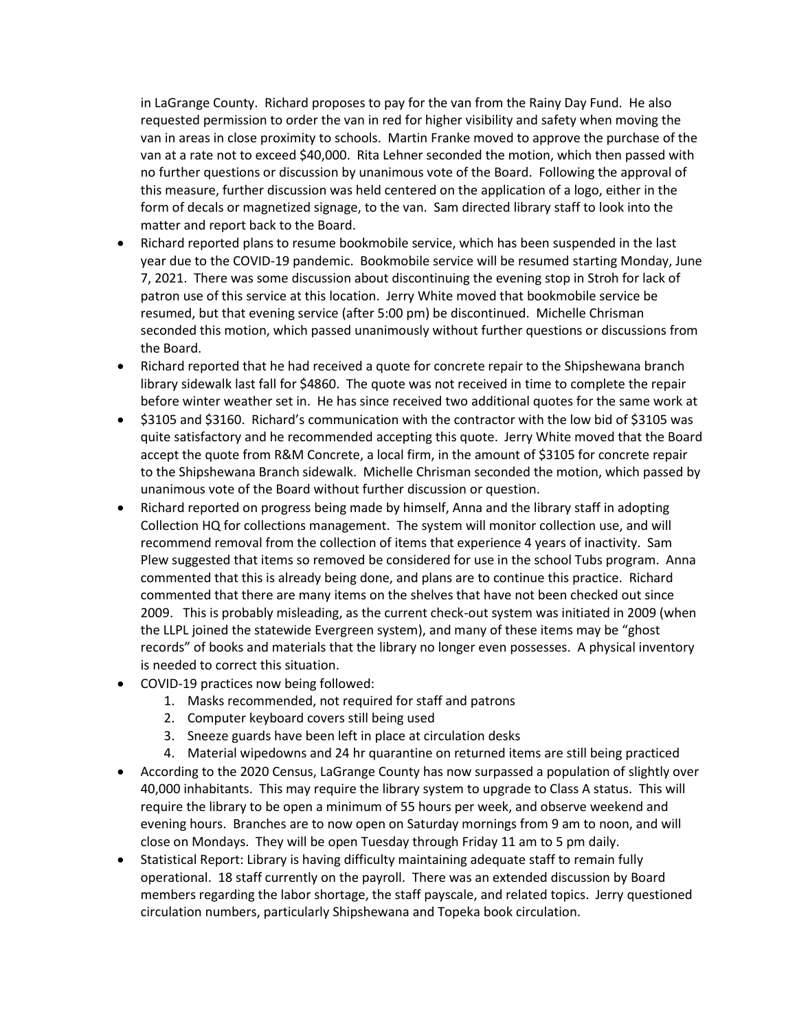in LaGrange County. Richard proposes to pay for the van from the Rainy Day Fund. He also requested permission to order the van in red for higher visibility and safety when moving the van in areas in close proximity to schools. Martin Franke moved to approve the purchase of the van at a rate not to exceed \$40,000. Rita Lehner seconded the motion, which then passed with no further questions or discussion by unanimous vote of the Board. Following the approval of this measure, further discussion was held centered on the application of a logo, either in the form of decals or magnetized signage, to the van. Sam directed library staff to look into the matter and report back to the Board.

- Richard reported plans to resume bookmobile service, which has been suspended in the last year due to the COVID-19 pandemic. Bookmobile service will be resumed starting Monday, June 7, 2021. There was some discussion about discontinuing the evening stop in Stroh for lack of patron use of this service at this location. Jerry White moved that bookmobile service be resumed, but that evening service (after 5:00 pm) be discontinued. Michelle Chrisman seconded this motion, which passed unanimously without further questions or discussions from the Board.
- Richard reported that he had received a quote for concrete repair to the Shipshewana branch library sidewalk last fall for \$4860. The quote was not received in time to complete the repair before winter weather set in. He has since received two additional quotes for the same work at
- \$3105 and \$3160. Richard's communication with the contractor with the low bid of \$3105 was quite satisfactory and he recommended accepting this quote. Jerry White moved that the Board accept the quote from R&M Concrete, a local firm, in the amount of \$3105 for concrete repair to the Shipshewana Branch sidewalk. Michelle Chrisman seconded the motion, which passed by unanimous vote of the Board without further discussion or question.
- Richard reported on progress being made by himself, Anna and the library staff in adopting Collection HQ for collections management. The system will monitor collection use, and will recommend removal from the collection of items that experience 4 years of inactivity. Sam Plew suggested that items so removed be considered for use in the school Tubs program. Anna commented that this is already being done, and plans are to continue this practice. Richard commented that there are many items on the shelves that have not been checked out since 2009. This is probably misleading, as the current check-out system was initiated in 2009 (when the LLPL joined the statewide Evergreen system), and many of these items may be "ghost records" of books and materials that the library no longer even possesses. A physical inventory is needed to correct this situation.
- COVID-19 practices now being followed:
	- 1. Masks recommended, not required for staff and patrons
	- 2. Computer keyboard covers still being used
	- 3. Sneeze guards have been left in place at circulation desks
	- 4. Material wipedowns and 24 hr quarantine on returned items are still being practiced
- According to the 2020 Census, LaGrange County has now surpassed a population of slightly over 40,000 inhabitants. This may require the library system to upgrade to Class A status. This will require the library to be open a minimum of 55 hours per week, and observe weekend and evening hours. Branches are to now open on Saturday mornings from 9 am to noon, and will close on Mondays. They will be open Tuesday through Friday 11 am to 5 pm daily.
- Statistical Report: Library is having difficulty maintaining adequate staff to remain fully operational. 18 staff currently on the payroll. There was an extended discussion by Board members regarding the labor shortage, the staff payscale, and related topics. Jerry questioned circulation numbers, particularly Shipshewana and Topeka book circulation.